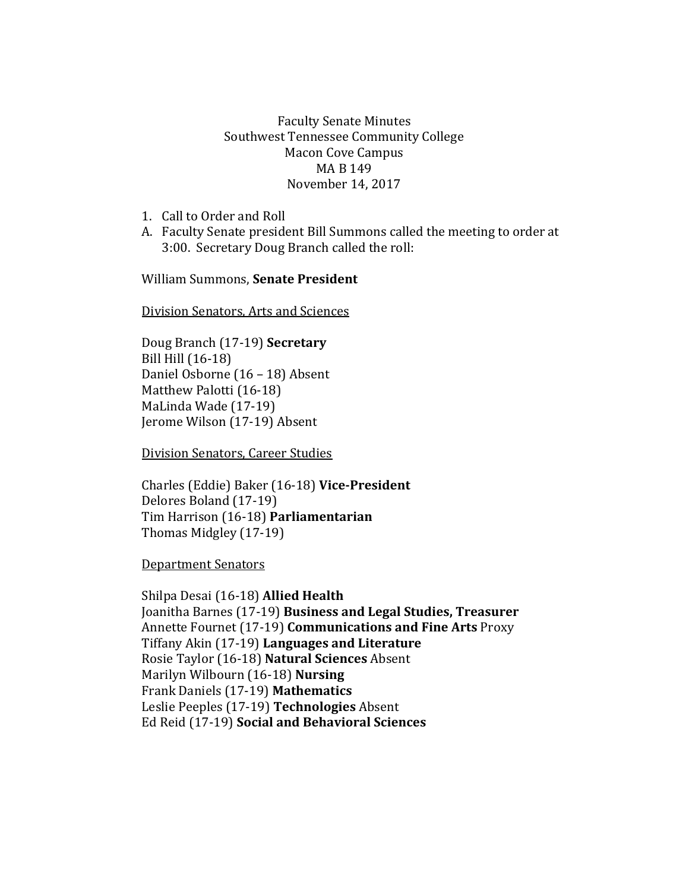## Faculty Senate Minutes Southwest Tennessee Community College Macon Cove Campus MA B 149 November 14, 2017

- 1. Call to Order and Roll
- A. Faculty Senate president Bill Summons called the meeting to order at 3:00. Secretary Doug Branch called the roll:

William Summons, **Senate President**

Division Senators, Arts and Sciences

Doug Branch (17-19) **Secretary** Bill Hill (16-18) Daniel Osborne (16 – 18) Absent Matthew Palotti (16-18) MaLinda Wade (17-19) Jerome Wilson (17-19) Absent

Division Senators, Career Studies

Charles (Eddie) Baker (16-18) **Vice-President** Delores Boland (17-19) Tim Harrison (16-18) **Parliamentarian** Thomas Midgley (17-19)

Department Senators

Shilpa Desai (16-18) **Allied Health** Joanitha Barnes (17-19) **Business and Legal Studies, Treasurer** Annette Fournet (17-19) **Communications and Fine Arts** Proxy Tiffany Akin (17-19) **Languages and Literature** Rosie Taylor (16-18) **Natural Sciences** Absent Marilyn Wilbourn (16-18) **Nursing** Frank Daniels (17-19) **Mathematics** Leslie Peeples (17-19) **Technologies** Absent Ed Reid (17-19) **Social and Behavioral Sciences**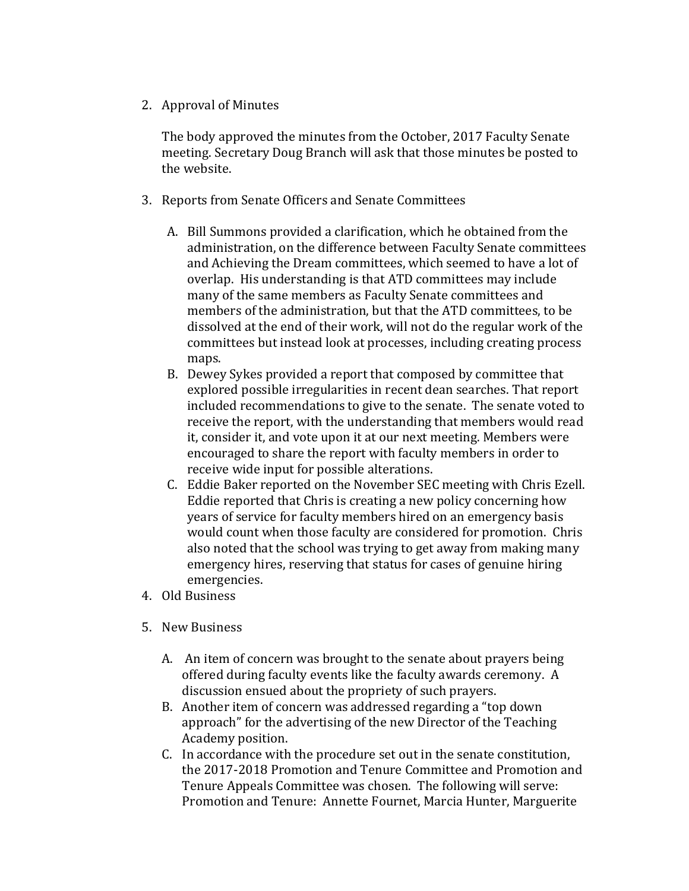2. Approval of Minutes

The body approved the minutes from the October, 2017 Faculty Senate meeting. Secretary Doug Branch will ask that those minutes be posted to the website.

- 3. Reports from Senate Officers and Senate Committees
	- A. Bill Summons provided a clarification, which he obtained from the administration, on the difference between Faculty Senate committees and Achieving the Dream committees, which seemed to have a lot of overlap. His understanding is that ATD committees may include many of the same members as Faculty Senate committees and members of the administration, but that the ATD committees, to be dissolved at the end of their work, will not do the regular work of the committees but instead look at processes, including creating process maps.
	- B. Dewey Sykes provided a report that composed by committee that explored possible irregularities in recent dean searches. That report included recommendations to give to the senate. The senate voted to receive the report, with the understanding that members would read it, consider it, and vote upon it at our next meeting. Members were encouraged to share the report with faculty members in order to receive wide input for possible alterations.
	- C. Eddie Baker reported on the November SEC meeting with Chris Ezell. Eddie reported that Chris is creating a new policy concerning how years of service for faculty members hired on an emergency basis would count when those faculty are considered for promotion. Chris also noted that the school was trying to get away from making many emergency hires, reserving that status for cases of genuine hiring emergencies.
- 4. Old Business
- 5. New Business
	- A. An item of concern was brought to the senate about prayers being offered during faculty events like the faculty awards ceremony. A discussion ensued about the propriety of such prayers.
	- B. Another item of concern was addressed regarding a "top down approach" for the advertising of the new Director of the Teaching Academy position.
	- C. In accordance with the procedure set out in the senate constitution, the 2017-2018 Promotion and Tenure Committee and Promotion and Tenure Appeals Committee was chosen. The following will serve: Promotion and Tenure: Annette Fournet, Marcia Hunter, Marguerite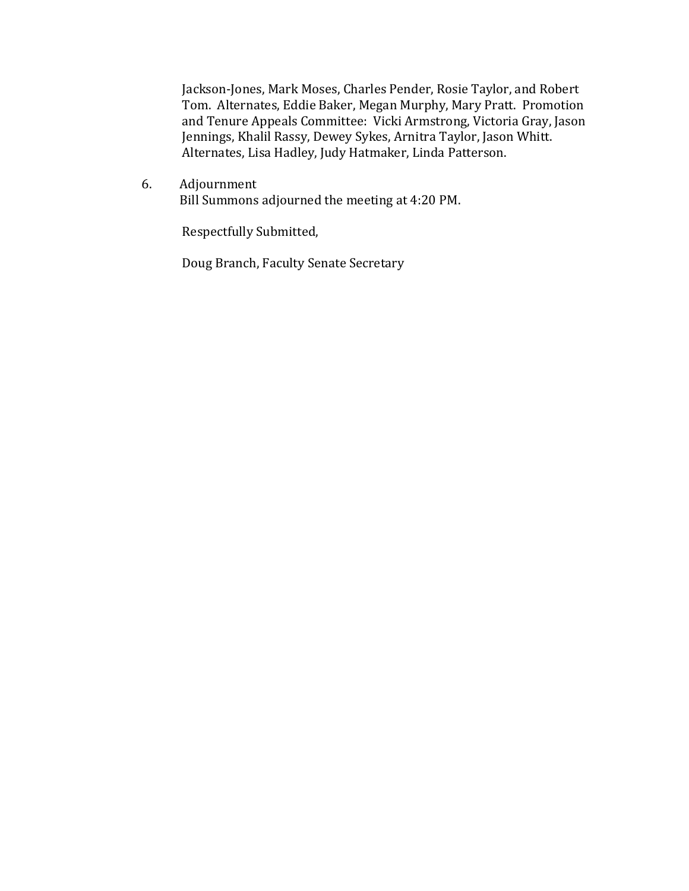Jackson-Jones, Mark Moses, Charles Pender, Rosie Taylor, and Robert Tom. Alternates, Eddie Baker, Megan Murphy, Mary Pratt. Promotion and Tenure Appeals Committee: Vicki Armstrong, Victoria Gray, Jason Jennings, Khalil Rassy, Dewey Sykes, Arnitra Taylor, Jason Whitt. Alternates, Lisa Hadley, Judy Hatmaker, Linda Patterson.

6. Adjournment Bill Summons adjourned the meeting at 4:20 PM.

Respectfully Submitted,

Doug Branch, Faculty Senate Secretary